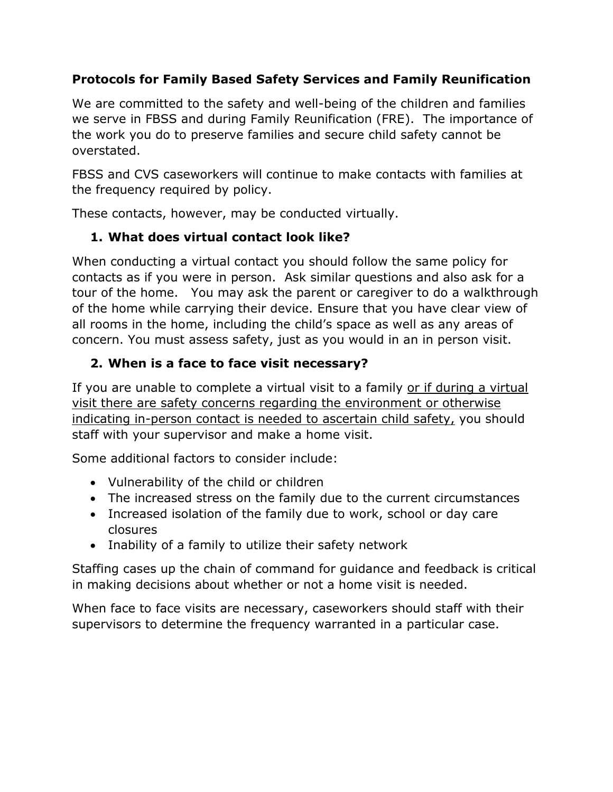## **Protocols for Family Based Safety Services and Family Reunification**

We are committed to the safety and well-being of the children and families we serve in FBSS and during Family Reunification (FRE). The importance of the work you do to preserve families and secure child safety cannot be overstated.

FBSS and CVS caseworkers will continue to make contacts with families at the frequency required by policy.

These contacts, however, may be conducted virtually.

# **1. What does virtual contact look like?**

When conducting a virtual contact you should follow the same policy for contacts as if you were in person. Ask similar questions and also ask for a tour of the home. You may ask the parent or caregiver to do a walkthrough of the home while carrying their device. Ensure that you have clear view of all rooms in the home, including the child's space as well as any areas of concern. You must assess safety, just as you would in an in person visit.

# **2. When is a face to face visit necessary?**

If you are unable to complete a virtual visit to a family or if during a virtual visit there are safety concerns regarding the environment or otherwise indicating in-person contact is needed to ascertain child safety, you should staff with your supervisor and make a home visit.

Some additional factors to consider include:

- Vulnerability of the child or children
- The increased stress on the family due to the current circumstances
- Increased isolation of the family due to work, school or day care closures
- Inability of a family to utilize their safety network

Staffing cases up the chain of command for guidance and feedback is critical in making decisions about whether or not a home visit is needed.

When face to face visits are necessary, caseworkers should staff with their supervisors to determine the frequency warranted in a particular case.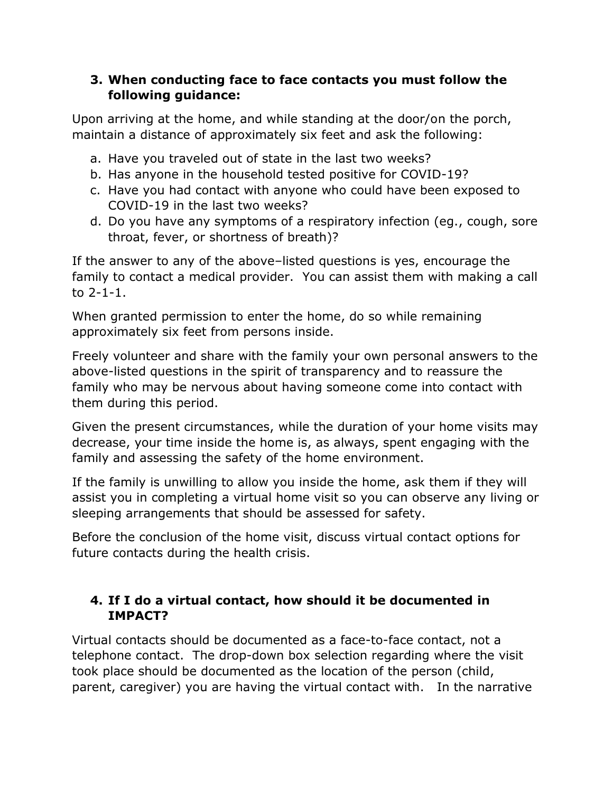#### **3. When conducting face to face contacts you must follow the following guidance:**

Upon arriving at the home, and while standing at the door/on the porch, maintain a distance of approximately six feet and ask the following:

- a. Have you traveled out of state in the last two weeks?
- b. Has anyone in the household tested positive for COVID-19?
- c. Have you had contact with anyone who could have been exposed to COVID-19 in the last two weeks?
- d. Do you have any symptoms of a respiratory infection (eg., cough, sore throat, fever, or shortness of breath)?

If the answer to any of the above–listed questions is yes, encourage the family to contact a medical provider. You can assist them with making a call to 2-1-1.

When granted permission to enter the home, do so while remaining approximately six feet from persons inside.

Freely volunteer and share with the family your own personal answers to the above-listed questions in the spirit of transparency and to reassure the family who may be nervous about having someone come into contact with them during this period.

Given the present circumstances, while the duration of your home visits may decrease, your time inside the home is, as always, spent engaging with the family and assessing the safety of the home environment.

If the family is unwilling to allow you inside the home, ask them if they will assist you in completing a virtual home visit so you can observe any living or sleeping arrangements that should be assessed for safety.

Before the conclusion of the home visit, discuss virtual contact options for future contacts during the health crisis.

## **4. If I do a virtual contact, how should it be documented in IMPACT?**

Virtual contacts should be documented as a face-to-face contact, not a telephone contact. The drop-down box selection regarding where the visit took place should be documented as the location of the person (child, parent, caregiver) you are having the virtual contact with. In the narrative